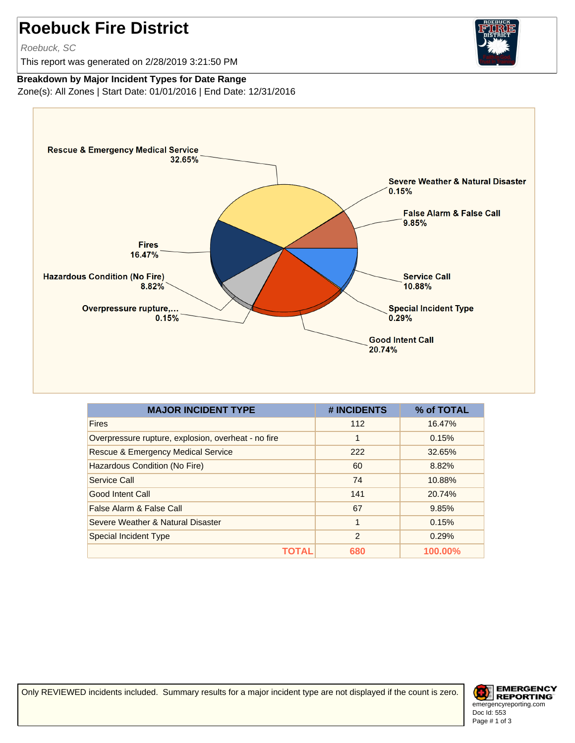## **Roebuck Fire District**

Roebuck, SC

This report was generated on 2/28/2019 3:21:50 PM



## **Breakdown by Major Incident Types for Date Range**

Zone(s): All Zones | Start Date: 01/01/2016 | End Date: 12/31/2016



| <b>MAJOR INCIDENT TYPE</b>                          | # INCIDENTS    | % of TOTAL |
|-----------------------------------------------------|----------------|------------|
| <b>Fires</b>                                        | 112            | 16.47%     |
| Overpressure rupture, explosion, overheat - no fire | 1              | 0.15%      |
| <b>Rescue &amp; Emergency Medical Service</b>       | 222            | 32.65%     |
| Hazardous Condition (No Fire)                       | 60             | 8.82%      |
| Service Call                                        | 74             | 10.88%     |
| Good Intent Call                                    | 141            | 20.74%     |
| False Alarm & False Call                            | 67             | 9.85%      |
| Severe Weather & Natural Disaster                   | 1              | 0.15%      |
| <b>Special Incident Type</b>                        | $\overline{2}$ | 0.29%      |
| ТОТА                                                | 680            | 100.00%    |

Only REVIEWED incidents included. Summary results for a major incident type are not displayed if the count is zero.

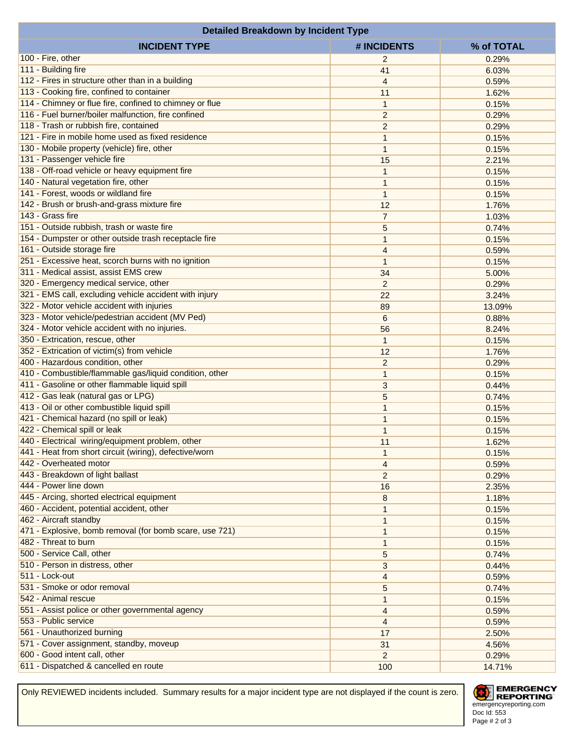| <b>Detailed Breakdown by Incident Type</b>              |                |                |  |  |
|---------------------------------------------------------|----------------|----------------|--|--|
| <b>INCIDENT TYPE</b>                                    | # INCIDENTS    | % of TOTAL     |  |  |
| 100 - Fire, other                                       | $\overline{2}$ | 0.29%          |  |  |
| 111 - Building fire                                     | 41             | 6.03%          |  |  |
| 112 - Fires in structure other than in a building       | 4              | 0.59%          |  |  |
| 113 - Cooking fire, confined to container               | 11             | 1.62%          |  |  |
| 114 - Chimney or flue fire, confined to chimney or flue | 1              | 0.15%          |  |  |
| 116 - Fuel burner/boiler malfunction, fire confined     | $\overline{c}$ | 0.29%          |  |  |
| 118 - Trash or rubbish fire, contained                  | $\overline{c}$ | 0.29%          |  |  |
| 121 - Fire in mobile home used as fixed residence       | 1              | 0.15%          |  |  |
| 130 - Mobile property (vehicle) fire, other             | 1              | 0.15%          |  |  |
| 131 - Passenger vehicle fire                            | 15             | 2.21%          |  |  |
| 138 - Off-road vehicle or heavy equipment fire          | 1              | 0.15%          |  |  |
| 140 - Natural vegetation fire, other                    | 1              | 0.15%          |  |  |
| 141 - Forest, woods or wildland fire                    | 1              | 0.15%          |  |  |
| 142 - Brush or brush-and-grass mixture fire             | 12             | 1.76%          |  |  |
| 143 - Grass fire                                        | $\overline{7}$ | 1.03%          |  |  |
| 151 - Outside rubbish, trash or waste fire              | 5              | 0.74%          |  |  |
| 154 - Dumpster or other outside trash receptacle fire   |                |                |  |  |
| 161 - Outside storage fire                              | 1<br>4         | 0.15%<br>0.59% |  |  |
| 251 - Excessive heat, scorch burns with no ignition     |                |                |  |  |
| 311 - Medical assist, assist EMS crew                   | 1              | 0.15%          |  |  |
|                                                         | 34             | 5.00%          |  |  |
| 320 - Emergency medical service, other                  | $\overline{c}$ | 0.29%          |  |  |
| 321 - EMS call, excluding vehicle accident with injury  | 22             | 3.24%          |  |  |
| 322 - Motor vehicle accident with injuries              | 89             | 13.09%         |  |  |
| 323 - Motor vehicle/pedestrian accident (MV Ped)        | 6              | 0.88%          |  |  |
| 324 - Motor vehicle accident with no injuries.          | 56             | 8.24%          |  |  |
| 350 - Extrication, rescue, other                        | 1              | 0.15%          |  |  |
| 352 - Extrication of victim(s) from vehicle             | 12             | 1.76%          |  |  |
| 400 - Hazardous condition, other                        | $\overline{c}$ | 0.29%          |  |  |
| 410 - Combustible/flammable gas/liquid condition, other | 1              | 0.15%          |  |  |
| 411 - Gasoline or other flammable liquid spill          | 3              | 0.44%          |  |  |
| 412 - Gas leak (natural gas or LPG)                     | 5              | 0.74%          |  |  |
| 413 - Oil or other combustible liquid spill             | 1              | 0.15%          |  |  |
| 421 - Chemical hazard (no spill or leak)                | 1              | 0.15%          |  |  |
| 422 - Chemical spill or leak                            | 1              | 0.15%          |  |  |
| 440 - Electrical wiring/equipment problem, other        | 11             | 1.62%          |  |  |
| 441 - Heat from short circuit (wiring), defective/worn  | 1              | 0.15%          |  |  |
| 442 - Overheated motor                                  | 4              | 0.59%          |  |  |
| 443 - Breakdown of light ballast                        | $\overline{c}$ | 0.29%          |  |  |
| 444 - Power line down                                   | 16             | 2.35%          |  |  |
| 445 - Arcing, shorted electrical equipment              | 8              | 1.18%          |  |  |
| 460 - Accident, potential accident, other               | 1              | 0.15%          |  |  |
| 462 - Aircraft standby                                  | 1              | 0.15%          |  |  |
| 471 - Explosive, bomb removal (for bomb scare, use 721) | 1              | 0.15%          |  |  |
| 482 - Threat to burn                                    | 1              | 0.15%          |  |  |
| 500 - Service Call, other                               | 5              | 0.74%          |  |  |
| 510 - Person in distress, other                         | 3              | 0.44%          |  |  |
| 511 - Lock-out                                          | 4              | 0.59%          |  |  |
| 531 - Smoke or odor removal                             | 5              | 0.74%          |  |  |
| 542 - Animal rescue                                     | 1              | 0.15%          |  |  |
| 551 - Assist police or other governmental agency        | 4              | 0.59%          |  |  |
| 553 - Public service                                    | 4              | 0.59%          |  |  |
| 561 - Unauthorized burning                              | 17             | 2.50%          |  |  |
| 571 - Cover assignment, standby, moveup                 | 31             | 4.56%          |  |  |
| 600 - Good intent call, other                           | $\overline{2}$ | 0.29%          |  |  |
| 611 - Dispatched & cancelled en route                   | 100            | 14.71%         |  |  |

Only REVIEWED incidents included. Summary results for a major incident type are not displayed if the count is zero.